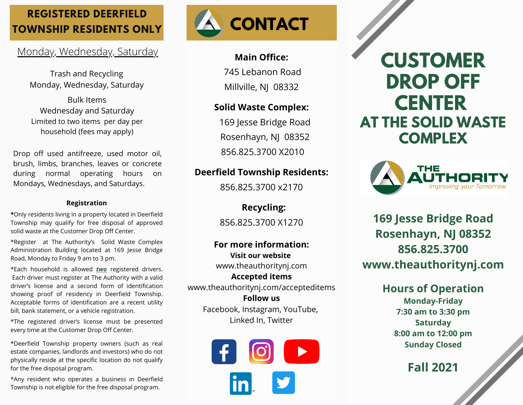## **REGISTERED DEERFIELD TOWNSHIP RESIDENTS ONLY**

### Monday, Wednesday, Saturday

Trash and Recycling Monday, Wednesday, Saturday

Bulk Items Wednesday and Saturday Limited to two items per day per household (fees may apply)

Drop off used antifreeze, used motor oil, brush, limbs, branches, leaves or concrete during normal operating hours on Mondays, Wednesdays, and Saturdays.

#### **Registration**

**\***Only residents living in a property located in Deerfield Township may qualify for free disposal of approved solid waste at the Customer Drop Off Center.

\*Register at The Authority's Solid Waste Complex Administration Building located at 169 Jesse Bridge Road, Monday to Friday 9 am to 3 pm.

\*Each household is allowed *two* registered drivers. Each driver must register at The Authority with a valid driver's license and a second form of identification showing proof of residency in Deerfield Township. Acceptable forms of identification are a recent utility bill, bank statement, or a vehicle registration.

\*The registered driver's license must be presented every time at the Customer Drop Off Center.

\*Deerfield Township property owners (such as real estate companies, landlords and investors) who do not physically reside at the specific location do not qualify for the free disposal program.

\*Any resident who operates a business in Deerfield Township is not eligible for the free disposal program.



### **Main Office:**

745 Lebanon Road Millville, NJ 08332

### **Solid Waste Complex:**

169 Jesse Bridge Road Rosenhayn, NJ 08352 856.825.3700 X2010

### **Deerfield Township Residents:**

856.825.3700 x2170

 **Recycling:** 856.825.3700 X1270

**For more information: Visit our website** www.theauthoritynj.com **Accepted items** www.theauthoritynj.com/accepteditems **Follow us** Facebook, Instagram, YouTube, Linked In, Twitter



# **CUSTOMER DROP OFF CENTER AT THE SOLID WASTE COMPLEX**



**169 Jesse Bridge Road Rosenhayn, NJ 08352 856.825.3700 www.theauthoritynj.com**

## **Hours of Operation**

**Monday-Friday 7:30 am to 3:30 pm Saturday 8:00 am to 12:00 pm Sunday Closed**

**Fall 2021**